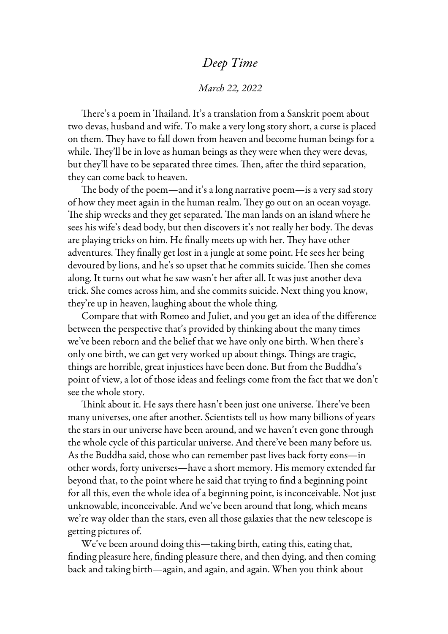## *Deep Time*

## *March 22, 2022*

There's a poem in Thailand. It's a translation from a Sanskrit poem about two devas, husband and wife. To make a very long story short, a curse is placed on them. They have to fall down from heaven and become human beings for a while. They'll be in love as human beings as they were when they were devas, but they'll have to be separated three times. Then, after the third separation, they can come back to heaven.

The body of the poem—and it's a long narrative poem—is a very sad story of how they meet again in the human realm. They go out on an ocean voyage. The ship wrecks and they get separated. The man lands on an island where he sees his wife's dead body, but then discovers it's not really her body. The devas are playing tricks on him. He finally meets up with her. They have other adventures. They finally get lost in a jungle at some point. He sees her being devoured by lions, and he's so upset that he commits suicide. Then she comes along. It turns out what he saw wasn't her after all. It was just another deva trick. She comes across him, and she commits suicide. Next thing you know, they're up in heaven, laughing about the whole thing.

Compare that with Romeo and Juliet, and you get an idea of the difference between the perspective that's provided by thinking about the many times we've been reborn and the belief that we have only one birth. When there's only one birth, we can get very worked up about things. Things are tragic, things are horrible, great injustices have been done. But from the Buddha's point of view, a lot of those ideas and feelings come from the fact that we don't see the whole story.

Think about it. He says there hasn't been just one universe. There've been many universes, one after another. Scientists tell us how many billions of years the stars in our universe have been around, and we haven't even gone through the whole cycle of this particular universe. And there've been many before us. As the Buddha said, those who can remember past lives back forty eons—in other words, forty universes—have a short memory. His memory extended far beyond that, to the point where he said that trying to find a beginning point for all this, even the whole idea of a beginning point, is inconceivable. Not just unknowable, inconceivable. And we've been around that long, which means we're way older than the stars, even all those galaxies that the new telescope is getting pictures of.

We've been around doing this—taking birth, eating this, eating that, finding pleasure here, finding pleasure there, and then dying, and then coming back and taking birth—again, and again, and again. When you think about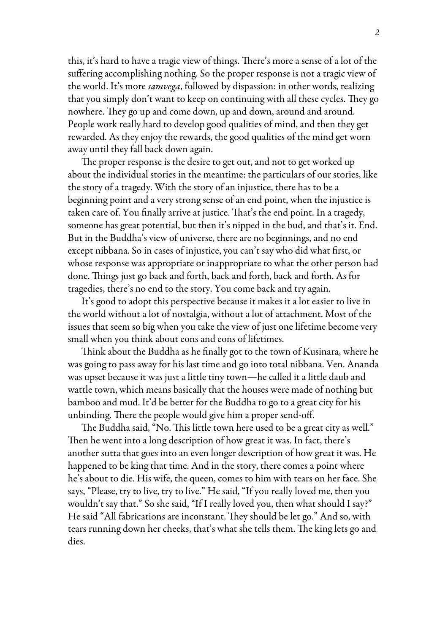this, it's hard to have a tragic view of things. There's more a sense of a lot of the suffering accomplishing nothing. So the proper response is not a tragic view of the world. It's more *samvega*, followed by dispassion: in other words, realizing that you simply don't want to keep on continuing with all these cycles. They go nowhere. They go up and come down, up and down, around and around. People work really hard to develop good qualities of mind, and then they get rewarded. As they enjoy the rewards, the good qualities of the mind get worn away until they fall back down again.

The proper response is the desire to get out, and not to get worked up about the individual stories in the meantime: the particulars of our stories, like the story of a tragedy. With the story of an injustice, there has to be a beginning point and a very strong sense of an end point, when the injustice is taken care of. You finally arrive at justice. That's the end point. In a tragedy, someone has great potential, but then it's nipped in the bud, and that's it. End. But in the Buddha's view of universe, there are no beginnings, and no end except nibbana. So in cases of injustice, you can't say who did what first, or whose response was appropriate or inappropriate to what the other person had done. Things just go back and forth, back and forth, back and forth. As for tragedies, there's no end to the story. You come back and try again.

It's good to adopt this perspective because it makes it a lot easier to live in the world without a lot of nostalgia, without a lot of attachment. Most of the issues that seem so big when you take the view of just one lifetime become very small when you think about eons and eons of lifetimes.

Think about the Buddha as he finally got to the town of Kusinara, where he was going to pass away for his last time and go into total nibbana. Ven. Ananda was upset because it was just a little tiny town—he called it a little daub and wattle town, which means basically that the houses were made of nothing but bamboo and mud. It'd be better for the Buddha to go to a great city for his unbinding. There the people would give him a proper send-off.

The Buddha said, "No. This little town here used to be a great city as well." Then he went into a long description of how great it was. In fact, there's another sutta that goes into an even longer description of how great it was. He happened to be king that time. And in the story, there comes a point where he's about to die. His wife, the queen, comes to him with tears on her face. She says, "Please, try to live, try to live." He said, "If you really loved me, then you wouldn't say that." So she said, "If I really loved you, then what should I say?" He said "All fabrications are inconstant. They should be let go." And so, with tears running down her cheeks, that's what she tells them. The king lets go and dies.